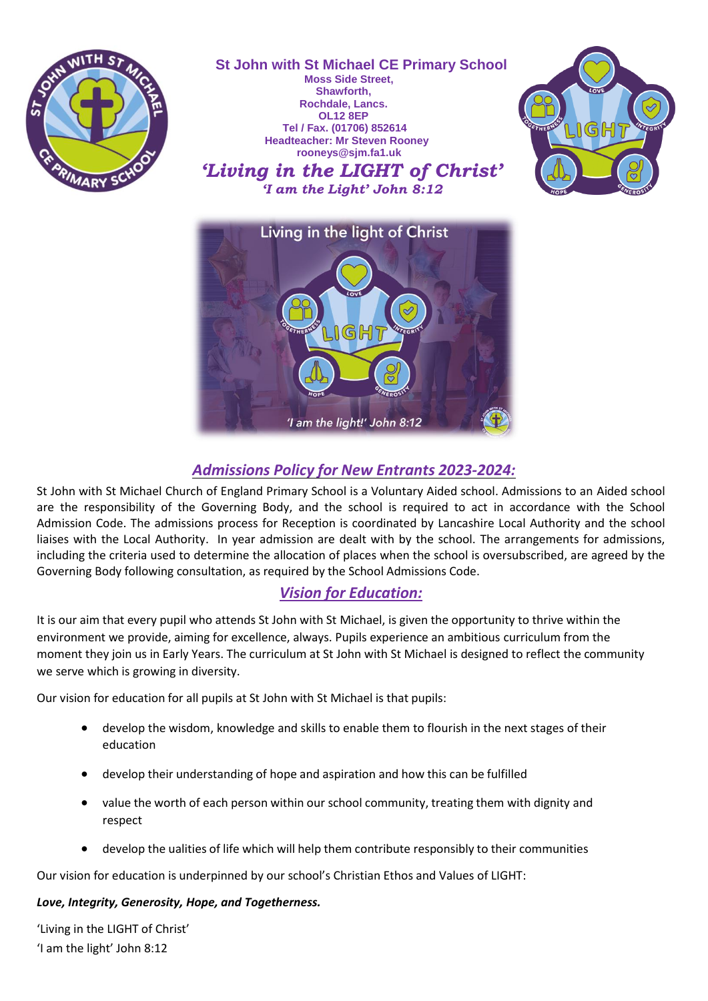

# *Admissions Policy for New Entrants 2023-2024:*

'I am the light!' John 8:12

St John with St Michael Church of England Primary School is a Voluntary Aided school. Admissions to an Aided school are the responsibility of the Governing Body, and the school is required to act in accordance with the School Admission Code. The admissions process for Reception is coordinated by Lancashire Local Authority and the school liaises with the Local Authority. In year admission are dealt with by the school. The arrangements for admissions, including the criteria used to determine the allocation of places when the school is oversubscribed, are agreed by the Governing Body following consultation, as required by the School Admissions Code.

## *Vision for Education:*

It is our aim that every pupil who attends St John with St Michael, is given the opportunity to thrive within the environment we provide, aiming for excellence, always. Pupils experience an ambitious curriculum from the moment they join us in Early Years. The curriculum at St John with St Michael is designed to reflect the community we serve which is growing in diversity.

Our vision for education for all pupils at St John with St Michael is that pupils:

- develop the wisdom, knowledge and skills to enable them to flourish in the next stages of their education
- develop their understanding of hope and aspiration and how this can be fulfilled
- value the worth of each person within our school community, treating them with dignity and respect
- develop the ualities of life which will help them contribute responsibly to their communities

Our vision for education is underpinned by our school's Christian Ethos and Values of LIGHT:

## *Love, Integrity, Generosity, Hope, and Togetherness.*

'Living in the LIGHT of Christ' 'I am the light' John 8:12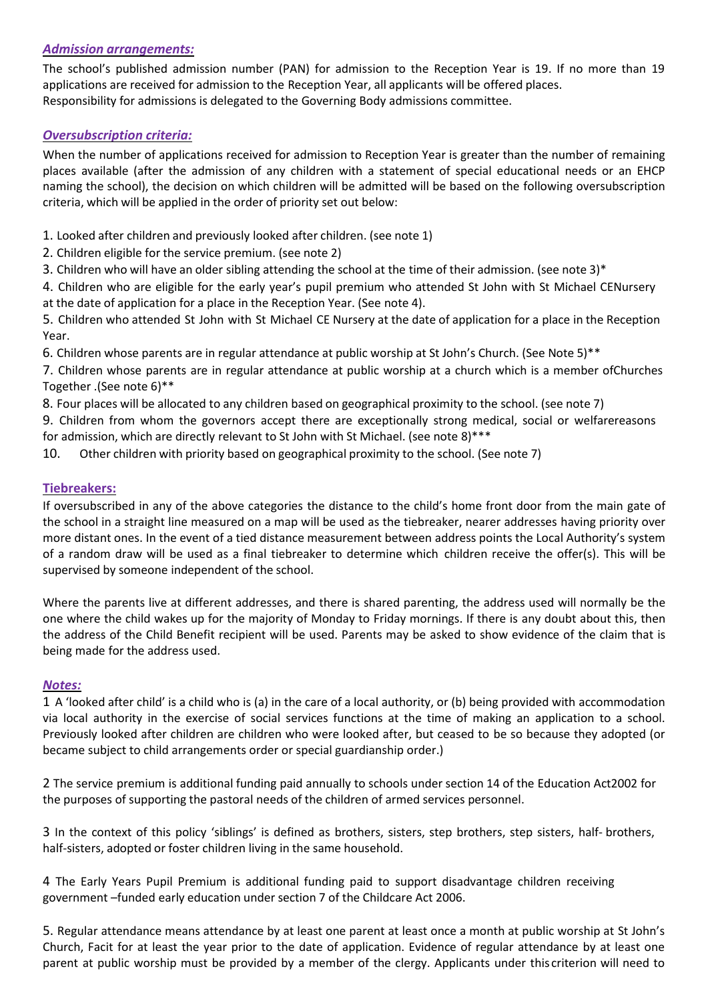#### *Admission arrangements:*

The school's published admission number (PAN) for admission to the Reception Year is 19. If no more than 19 applications are received for admission to the Reception Year, all applicants will be offered places. Responsibility for admissions is delegated to the Governing Body admissions committee.

## *Oversubscription criteria:*

When the number of applications received for admission to Reception Year is greater than the number of remaining places available (after the admission of any children with a statement of special educational needs or an EHCP naming the school), the decision on which children will be admitted will be based on the following oversubscription criteria, which will be applied in the order of priority set out below:

- 1. Looked after children and previously looked after children. (see note 1)
- 2. Children eligible for the service premium. (see note 2)
- 3. Children who will have an older sibling attending the school at the time of their admission. (see note 3)\*

4. Children who are eligible for the early year's pupil premium who attended St John with St Michael CENursery at the date of application for a place in the Reception Year. (See note 4).

5. Children who attended St John with St Michael CE Nursery at the date of application for a place in the Reception Year.

6. Children whose parents are in regular attendance at public worship at St John's Church. (See Note 5)\*\*

7. Children whose parents are in regular attendance at public worship at a church which is a member ofChurches Together .(See note 6)\*\*

8. Four places will be allocated to any children based on geographical proximity to the school. (see note 7)

9. Children from whom the governors accept there are exceptionally strong medical, social or welfarereasons for admission, which are directly relevant to St John with St Michael. (see note 8)\*\*\*

10. Other children with priority based on geographical proximity to the school. (See note 7)

## **Tiebreakers:**

If oversubscribed in any of the above categories the distance to the child's home front door from the main gate of the school in a straight line measured on a map will be used as the tiebreaker, nearer addresses having priority over more distant ones. In the event of a tied distance measurement between address points the Local Authority's system of a random draw will be used as a final tiebreaker to determine which children receive the offer(s). This will be supervised by someone independent of the school.

Where the parents live at different addresses, and there is shared parenting, the address used will normally be the one where the child wakes up for the majority of Monday to Friday mornings. If there is any doubt about this, then the address of the Child Benefit recipient will be used. Parents may be asked to show evidence of the claim that is being made for the address used.

#### *Notes:*

1 A 'looked after child' is a child who is (a) in the care of a local authority, or (b) being provided with accommodation via local authority in the exercise of social services functions at the time of making an application to a school. Previously looked after children are children who were looked after, but ceased to be so because they adopted (or became subject to child arrangements order or special guardianship order.)

2 The service premium is additional funding paid annually to schools under section 14 of the Education Act2002 for the purposes of supporting the pastoral needs of the children of armed services personnel.

3 In the context of this policy 'siblings' is defined as brothers, sisters, step brothers, step sisters, half- brothers, half-sisters, adopted or foster children living in the same household.

4 The Early Years Pupil Premium is additional funding paid to support disadvantage children receiving government –funded early education under section 7 of the Childcare Act 2006.

5. Regular attendance means attendance by at least one parent at least once a month at public worship at St John's Church, Facit for at least the year prior to the date of application. Evidence of regular attendance by at least one parent at public worship must be provided by a member of the clergy. Applicants under this criterion will need to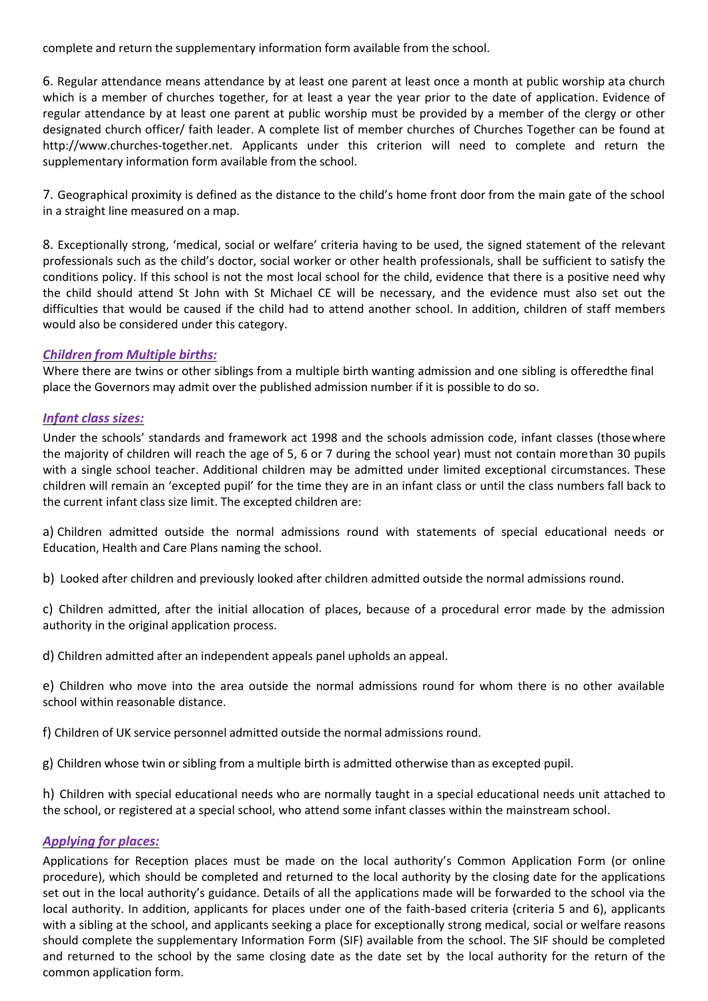complete and return the supplementary information form available from the school.

6. Regular attendance means attendance by at least one parent at least once a month at public worship ata church which is a member of churches together, for at least a year the year prior to the date of application. Evidence of regular attendance by at least one parent at public worship must be provided by a member of the clergy or other designated church officer/ faith leader. A complete list of member churches of Churches Together can be found at [http://www.churches-together.net. A](http://www.churches-together.net/)pplicants under this criterion will need to complete and return the supplementary information form available from the school.

7. Geographical proximity is defined as the distance to the child's home front door from the main gate of the school in a straight line measured on a map.

8. Exceptionally strong, 'medical, social or welfare' criteria having to be used, the signed statement of the relevant professionals such as the child's doctor, social worker or other health professionals, shall be sufficient to satisfy the conditions policy. If this school is not the most local school for the child, evidence that there is a positive need why the child should attend St John with St Michael CE will be necessary, and the evidence must also set out the difficulties that would be caused if the child had to attend another school. In addition, children of staff members would also be considered under this category.

## *Children from Multiple births:*

Where there are twins or other siblings from a multiple birth wanting admission and one sibling is offeredthe final place the Governors may admit over the published admission number if it is possible to do so.

## *Infant class sizes:*

Under the schools' standards and framework act 1998 and the schools admission code, infant classes (thosewhere the majority of children will reach the age of 5, 6 or 7 during the school year) must not contain morethan 30 pupils with a single school teacher. Additional children may be admitted under limited exceptional circumstances. These children will remain an 'excepted pupil' for the time they are in an infant class or until the class numbers fall back to the current infant class size limit. The excepted children are:

a) Children admitted outside the normal admissions round with statements of special educational needs or Education, Health and Care Plans naming the school.

b) Looked after children and previously looked after children admitted outside the normal admissions round.

c) Children admitted, after the initial allocation of places, because of a procedural error made by the admission authority in the original application process.

d) Children admitted after an independent appeals panel upholds an appeal.

e) Children who move into the area outside the normal admissions round for whom there is no other available school within reasonable distance.

f) Children of UK service personnel admitted outside the normal admissions round.

g) Children whose twin or sibling from a multiple birth is admitted otherwise than as excepted pupil.

h) Children with special educational needs who are normally taught in a special educational needs unit attached to the school, or registered at a special school, who attend some infant classes within the mainstream school.

#### *Applying for places:*

Applications for Reception places must be made on the local authority's Common Application Form (or online procedure), which should be completed and returned to the local authority by the closing date for the applications set out in the local authority's guidance. Details of all the applications made will be forwarded to the school via the local authority. In addition, applicants for places under one of the faith-based criteria (criteria 5 and 6), applicants with a sibling at the school, and applicants seeking a place for exceptionally strong medical, social or welfare reasons should complete the supplementary Information Form (SIF) available from the school. The SIF should be completed and returned to the school by the same closing date as the date set by the local authority for the return of the common application form.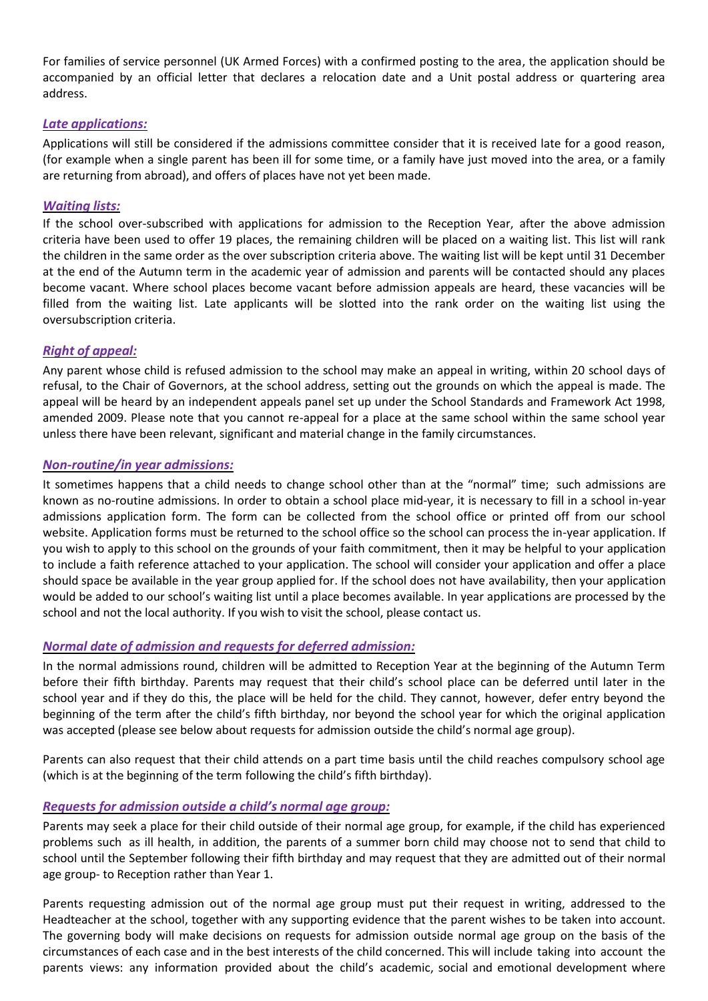For families of service personnel (UK Armed Forces) with a confirmed posting to the area, the application should be accompanied by an official letter that declares a relocation date and a Unit postal address or quartering area address.

#### *Late applications:*

Applications will still be considered if the admissions committee consider that it is received late for a good reason, (for example when a single parent has been ill for some time, or a family have just moved into the area, or a family are returning from abroad), and offers of places have not yet been made.

## *Waiting lists:*

If the school over-subscribed with applications for admission to the Reception Year, after the above admission criteria have been used to offer 19 places, the remaining children will be placed on a waiting list. This list will rank the children in the same order as the over subscription criteria above. The waiting list will be kept until 31 December at the end of the Autumn term in the academic year of admission and parents will be contacted should any places become vacant. Where school places become vacant before admission appeals are heard, these vacancies will be filled from the waiting list. Late applicants will be slotted into the rank order on the waiting list using the oversubscription criteria.

## *Right of appeal:*

Any parent whose child is refused admission to the school may make an appeal in writing, within 20 school days of refusal, to the Chair of Governors, at the school address, setting out the grounds on which the appeal is made. The appeal will be heard by an independent appeals panel set up under the School Standards and Framework Act 1998, amended 2009. Please note that you cannot re-appeal for a place at the same school within the same school year unless there have been relevant, significant and material change in the family circumstances.

## *Non-routine/in year admissions:*

It sometimes happens that a child needs to change school other than at the "normal" time; such admissions are known as no-routine admissions. In order to obtain a school place mid-year, it is necessary to fill in a school in-year admissions application form. The form can be collected from the school office or printed off from our school website. Application forms must be returned to the school office so the school can process the in-year application. If you wish to apply to this school on the grounds of your faith commitment, then it may be helpful to your application to include a faith reference attached to your application. The school will consider your application and offer a place should space be available in the year group applied for. If the school does not have availability, then your application would be added to our school's waiting list until a place becomes available. In year applications are processed by the school and not the local authority. If you wish to visit the school, please contact us.

## *Normal date of admission and requests for deferred admission:*

In the normal admissions round, children will be admitted to Reception Year at the beginning of the Autumn Term before their fifth birthday. Parents may request that their child's school place can be deferred until later in the school year and if they do this, the place will be held for the child. They cannot, however, defer entry beyond the beginning of the term after the child's fifth birthday, nor beyond the school year for which the original application was accepted (please see below about requests for admission outside the child's normal age group).

Parents can also request that their child attends on a part time basis until the child reaches compulsory school age (which is at the beginning of the term following the child's fifth birthday).

## *Requests for admission outside a child's normal age group:*

Parents may seek a place for their child outside of their normal age group, for example, if the child has experienced problems such as ill health, in addition, the parents of a summer born child may choose not to send that child to school until the September following their fifth birthday and may request that they are admitted out of their normal age group- to Reception rather than Year 1.

Parents requesting admission out of the normal age group must put their request in writing, addressed to the Headteacher at the school, together with any supporting evidence that the parent wishes to be taken into account. The governing body will make decisions on requests for admission outside normal age group on the basis of the circumstances of each case and in the best interests of the child concerned. This will include taking into account the parents views: any information provided about the child's academic, social and emotional development where